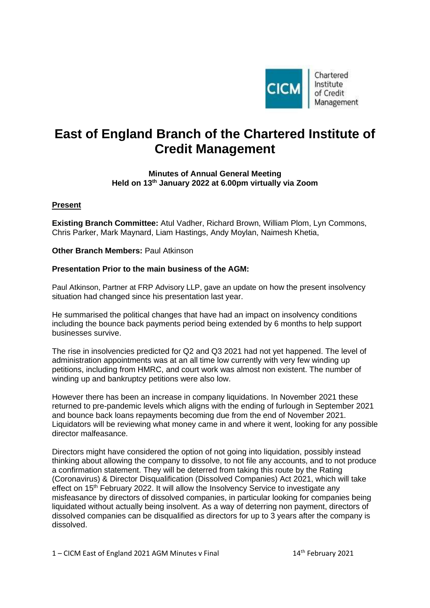

Chartered Institute of Credit Management

# **East of England Branch of the Chartered Institute of Credit Management**

## **Minutes of Annual General Meeting Held on 13 th January 2022 at 6.00pm virtually via Zoom**

# **Present**

**Existing Branch Committee:** Atul Vadher, Richard Brown, William Plom, Lyn Commons, Chris Parker, Mark Maynard, Liam Hastings, Andy Moylan, Naimesh Khetia,

**Other Branch Members:** Paul Atkinson

## **Presentation Prior to the main business of the AGM:**

Paul Atkinson, Partner at FRP Advisory LLP, gave an update on how the present insolvency situation had changed since his presentation last year.

He summarised the political changes that have had an impact on insolvency conditions including the bounce back payments period being extended by 6 months to help support businesses survive.

The rise in insolvencies predicted for Q2 and Q3 2021 had not yet happened. The level of administration appointments was at an all time low currently with very few winding up petitions, including from HMRC, and court work was almost non existent. The number of winding up and bankruptcy petitions were also low.

However there has been an increase in company liquidations. In November 2021 these returned to pre-pandemic levels which aligns with the ending of furlough in September 2021 and bounce back loans repayments becoming due from the end of November 2021. Liquidators will be reviewing what money came in and where it went, looking for any possible director malfeasance.

Directors might have considered the option of not going into liquidation, possibly instead thinking about allowing the company to dissolve, to not file any accounts, and to not produce a confirmation statement. They will be deterred from taking this route by the Rating (Coronavirus) & Director Disqualification (Dissolved Companies) Act 2021, which will take effect on 15<sup>th</sup> February 2022. It will allow the Insolvency Service to investigate any misfeasance by directors of dissolved companies, in particular looking for companies being liquidated without actually being insolvent. As a way of deterring non payment, directors of dissolved companies can be disqualified as directors for up to 3 years after the company is dissolved.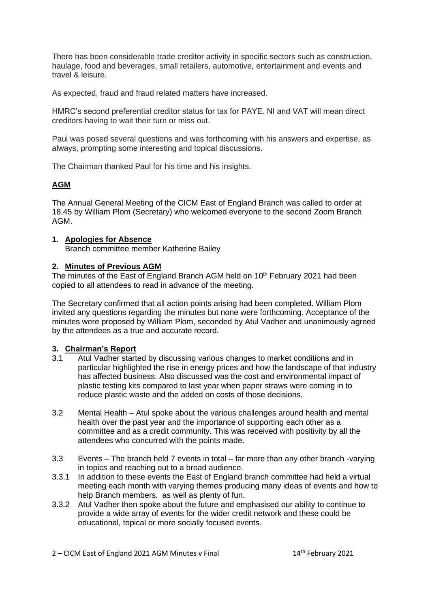There has been considerable trade creditor activity in specific sectors such as construction, haulage, food and beverages, small retailers, automotive, entertainment and events and travel & leisure.

As expected, fraud and fraud related matters have increased.

HMRC's second preferential creditor status for tax for PAYE. NI and VAT will mean direct creditors having to wait their turn or miss out.

Paul was posed several questions and was forthcoming with his answers and expertise, as always, prompting some interesting and topical discussions.

The Chairman thanked Paul for his time and his insights.

# **AGM**

The Annual General Meeting of the CICM East of England Branch was called to order at 18.45 by William Plom (Secretary) who welcomed everyone to the second Zoom Branch AGM.

## **1. Apologies for Absence**

Branch committee member Katherine Bailey

## **2. Minutes of Previous AGM**

The minutes of the East of England Branch AGM held on 10<sup>th</sup> February 2021 had been copied to all attendees to read in advance of the meeting.

The Secretary confirmed that all action points arising had been completed. William Plom invited any questions regarding the minutes but none were forthcoming. Acceptance of the minutes were proposed by William Plom, seconded by Atul Vadher and unanimously agreed by the attendees as a true and accurate record.

## **3. Chairman's Report**

- 3.1 Atul Vadher started by discussing various changes to market conditions and in particular highlighted the rise in energy prices and how the landscape of that industry has affected business. Also discussed was the cost and environmental impact of plastic testing kits compared to last year when paper straws were coming in to reduce plastic waste and the added on costs of those decisions.
- 3.2 Mental Health Atul spoke about the various challenges around health and mental health over the past year and the importance of supporting each other as a committee and as a credit community. This was received with positivity by all the attendees who concurred with the points made.
- 3.3 Events The branch held 7 events in total far more than any other branch -varying in topics and reaching out to a broad audience.
- 3.3.1 In addition to these events the East of England branch committee had held a virtual meeting each month with varying themes producing many ideas of events and how to help Branch members. as well as plenty of fun.
- 3.3.2 Atul Vadher then spoke about the future and emphasised our ability to continue to provide a wide array of events for the wider credit network and these could be educational, topical or more socially focused events.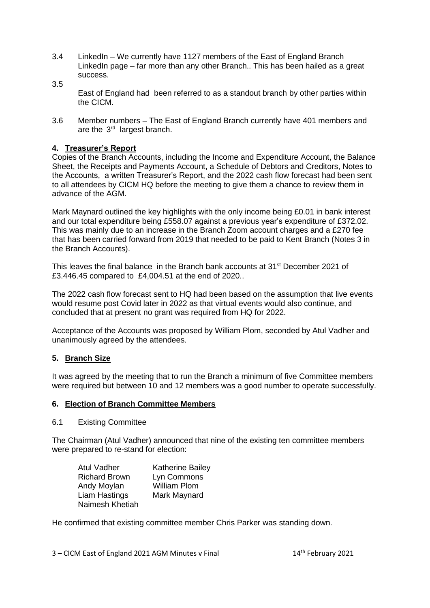- 3.4 LinkedIn We currently have 1127 members of the East of England Branch LinkedIn page – far more than any other Branch.. This has been hailed as a great success. 3.5
	- East of England had been referred to as a standout branch by other parties within the CICM.
- 3.6 Member numbers The East of England Branch currently have 401 members and are the  $3<sup>rd</sup>$  largest branch.

## **4. Treasurer's Report**

Copies of the Branch Accounts, including the Income and Expenditure Account, the Balance Sheet, the Receipts and Payments Account, a Schedule of Debtors and Creditors, Notes to the Accounts, a written Treasurer's Report, and the 2022 cash flow forecast had been sent to all attendees by CICM HQ before the meeting to give them a chance to review them in advance of the AGM.

Mark Maynard outlined the key highlights with the only income being £0.01 in bank interest and our total expenditure being £558.07 against a previous year's expenditure of £372.02. This was mainly due to an increase in the Branch Zoom account charges and a £270 fee that has been carried forward from 2019 that needed to be paid to Kent Branch (Notes 3 in the Branch Accounts).

This leaves the final balance in the Branch bank accounts at 31<sup>st</sup> December 2021 of £3.446.45 compared to £4,004.51 at the end of 2020..

The 2022 cash flow forecast sent to HQ had been based on the assumption that live events would resume post Covid later in 2022 as that virtual events would also continue, and concluded that at present no grant was required from HQ for 2022.

Acceptance of the Accounts was proposed by William Plom, seconded by Atul Vadher and unanimously agreed by the attendees.

## **5. Branch Size**

It was agreed by the meeting that to run the Branch a minimum of five Committee members were required but between 10 and 12 members was a good number to operate successfully.

## **6. Election of Branch Committee Members**

#### 6.1 Existing Committee

The Chairman (Atul Vadher) announced that nine of the existing ten committee members were prepared to re-stand for election:

| <b>Atul Vadher</b>   | <b>Katherine Bailey</b> |
|----------------------|-------------------------|
| <b>Richard Brown</b> | Lyn Commons             |
| Andy Moylan          | <b>William Plom</b>     |
| Liam Hastings        | Mark Maynard            |
| Naimesh Khetiah      |                         |

He confirmed that existing committee member Chris Parker was standing down.

 $3 -$  CICM East of England 2021 AGM Minutes v Final  $14$ <sup>th</sup> February 2021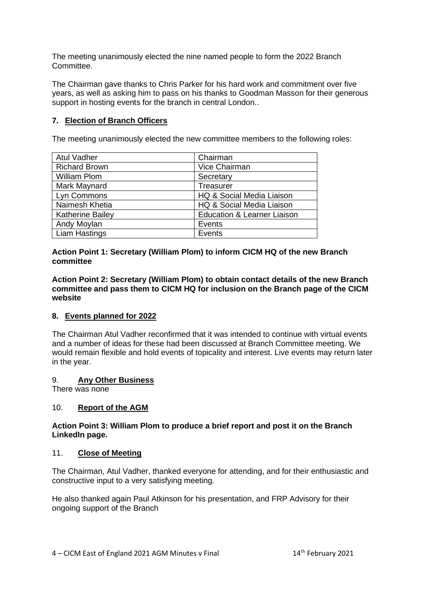The meeting unanimously elected the nine named people to form the 2022 Branch Committee.

The Chairman gave thanks to Chris Parker for his hard work and commitment over five years, as well as asking him to pass on his thanks to Goodman Masson for their generous support in hosting events for the branch in central London..

# **7. Election of Branch Officers**

The meeting unanimously elected the new committee members to the following roles:

| <b>Atul Vadher</b>      | Chairman                               |
|-------------------------|----------------------------------------|
| <b>Richard Brown</b>    | Vice Chairman                          |
| <b>William Plom</b>     | Secretary                              |
| Mark Maynard            | Treasurer                              |
| Lyn Commons             | HQ & Social Media Liaison              |
| Naimesh Khetia          | HQ & Social Media Liaison              |
| <b>Katherine Bailey</b> | <b>Education &amp; Learner Liaison</b> |
| Andy Moylan             | Events                                 |
| <b>Liam Hastings</b>    | Events                                 |

**Action Point 1: Secretary (William Plom) to inform CICM HQ of the new Branch committee**

**Action Point 2: Secretary (William Plom) to obtain contact details of the new Branch committee and pass them to CICM HQ for inclusion on the Branch page of the CICM website**

## **8. Events planned for 2022**

The Chairman Atul Vadher reconfirmed that it was intended to continue with virtual events and a number of ideas for these had been discussed at Branch Committee meeting. We would remain flexible and hold events of topicality and interest. Live events may return later in the year.

#### 9. **Any Other Business**

There was none

## 10. **Report of the AGM**

#### **Action Point 3: William Plom to produce a brief report and post it on the Branch LinkedIn page.**

#### 11. **Close of Meeting**

The Chairman, Atul Vadher, thanked everyone for attending, and for their enthusiastic and constructive input to a very satisfying meeting.

He also thanked again Paul Atkinson for his presentation, and FRP Advisory for their ongoing support of the Branch